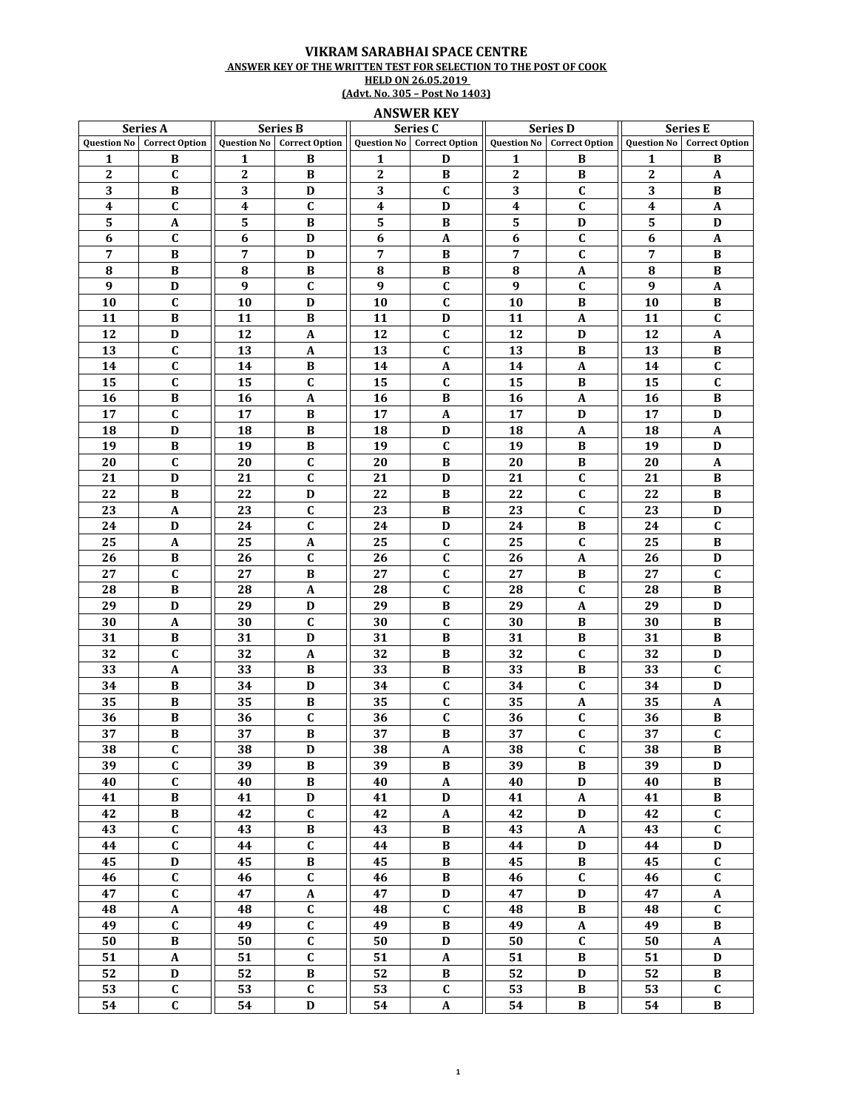## VIKRAM SARABHAI SPACE CENTRE ANSWER KEY OF THE WRITTEN TEST FOR SELECTION TO THE POST OF COOK<br>HELD ON 26.05.2019<br>(Advt. No. 305 – Post No 1403)

## **ANSWER KEY**

| Series A           |                       | <b>Series B</b>  |                                   | Series C           |                           | <b>Series D</b> |                                   | <b>Series E</b>    |                           |
|--------------------|-----------------------|------------------|-----------------------------------|--------------------|---------------------------|-----------------|-----------------------------------|--------------------|---------------------------|
| <b>Question No</b> | <b>Correct Option</b> |                  | <b>Question No</b> Correct Option | <b>Ouestion No</b> | <b>Correct Option</b>     |                 | <b>Question No</b> Correct Option | <b>Question No</b> | <b>Correct Option</b>     |
| 1                  | B                     | 1                | B                                 | 1                  | D                         | 1               | B                                 | 1                  | B                         |
| $\boldsymbol{2}$   | C                     | $\mathbf{2}$     | B                                 | $\boldsymbol{2}$   | B                         | 2               | B                                 | 2                  | A                         |
| 3                  | B                     | 3                | D                                 | 3                  | $\mathbf{C}$              | 3               | $\mathbf{C}$                      | 3                  | B                         |
| 4                  | $\mathbf C$           | $\boldsymbol{4}$ | $\mathbf C$                       | 4                  | D                         | 4               | $\mathbf C$                       | 4                  | A                         |
| 5                  | $\boldsymbol{A}$      | 5                | B                                 | 5                  | B                         | 5               | D                                 | 5                  | D                         |
| 6                  | $\mathbf C$           | 6                | D                                 | 6                  | A                         | 6               | $\mathbf C$                       | 6                  | $\mathbf{A}$              |
| 7                  | B                     | $\overline{7}$   | D                                 | 7                  | B                         | 7               | $\mathbf C$                       | 7                  | B                         |
| 8                  | $\bf{B}$              | 8                | $\, {\bf B}$                      | ${\bf 8}$          | $\, {\bf B}$              | $\bf{8}$        | $\mathbf A$                       | 8                  | B                         |
| 9                  | D                     | 9                | $\mathbf C$                       | 9                  | $\mathbf C$               | 9               | $\mathbf C$                       | 9                  | $\boldsymbol{A}$          |
| 10                 | $\mathbf{C}$          | 10               | D                                 | 10                 | $\mathbf C$               | 10              | B                                 | 10                 | $\bf{B}$                  |
| 11                 | B                     | 11               | B                                 | 11                 | D                         | 11              | A                                 | 11                 | $\mathbf C$               |
| 12                 | D                     | 12               | A                                 | 12                 | C                         | 12              | D                                 | 12                 | A                         |
| 13                 | $\mathbf C$           | 13               | A                                 | 13                 | C                         | 13              | B                                 | 13                 | $\bf{B}$                  |
| 14                 | $\mathbf C$           | 14               | B                                 | 14                 | A                         | 14              | A                                 | 14                 | C                         |
| 15                 | $\mathbf{C}$          | 15               | $\mathbf C$                       | 15                 | $\mathbf C$               | 15              | B                                 | 15                 | $\mathbf{C}$              |
| 16                 | $\bf{B}$              | 16               | $\mathbf A$                       | 16                 | $\bf{B}$                  | 16              | $\mathbf A$                       | 16                 | B                         |
| 17                 | $\mathbf{C}$          | 17               | B                                 | 17                 | $\mathbf{A}$              | 17              | D                                 | 17                 | D                         |
| 18                 | D                     | 18               | $\bf{B}$                          | 18                 | D                         | 18              | $\mathbf A$                       | 18                 | $\mathbf{A}$              |
| 19                 | $\bf{B}$              | 19               | $\, {\bf B}$                      | 19                 | $\mathbf C$               | 19              | $\, {\bf B}$                      | 19                 | D                         |
| 20                 | $\mathbf C$           | 20               | $\mathbf C$                       | 20                 | B                         | 20              | B                                 | 20                 | $\boldsymbol{A}$          |
| 21                 | D                     | 21               | $\mathbf C$                       | 21                 | D                         | 21              | $\mathbf C$                       | 21                 | B                         |
| 22                 | В                     | 22               | D                                 | 22                 | B                         | 22              | C                                 | 22                 | B                         |
| 23                 | A                     | 23               | $\mathbf C$                       | 23                 | B                         | 23              | $\mathbf C$                       | 23                 | D                         |
| 24                 | D                     | 24               | $\mathbf C$                       | 24                 | D                         | 24              | B                                 | 24                 | $\mathbf C$               |
| 25                 | $\boldsymbol{A}$      | 25               | A                                 | 25                 | $\mathbf C$               | 25              | C                                 | 25                 | $\bf{B}$                  |
| 26                 | B                     | 26               | $\mathbf C$                       | 26                 | $\mathbf{C}$              | 26              | $\mathbf A$                       | 26                 | D                         |
| 27                 | $\mathbf{C}$          | 27               | B                                 | 27                 | $\mathbf C$               | 27              | B                                 | 27                 | $\mathbf{C}$              |
| 28                 | $\bf{B}$              | 28               | $\boldsymbol{A}$                  | 28                 | $\mathbf{C}$              | 28              | $\mathbf C$                       | 28                 | $\, {\bf B}$              |
| 29                 | D                     | 29               | D                                 | 29                 | $\bf{B}$                  | 29              | $\mathbf A$                       | 29                 | D                         |
| 30                 | A                     | 30               | $\mathbf C$                       | 30                 | $\mathbf C$               | 30              | B                                 | 30                 | $\bf{B}$                  |
| 31                 | B                     | 31               | D                                 | 31                 | B                         | 31              | B                                 | 31                 | B                         |
| 32                 | $\mathbf{C}$          | 32               | A                                 | 32                 | В                         | 32              | $\mathbf{C}$                      | 32                 | D                         |
| 33                 | A                     | 33               | B                                 | 33                 | B                         | 33              | B                                 | 33                 | $\mathbf c$               |
| 34                 | В                     | 34               | D                                 | 34                 | C                         | 34              | C                                 | 34                 | D                         |
| 35                 | B                     | 35               | $\, {\bf B}$                      | 35                 | $\mathbf C$               | 35              | A                                 | 35                 | $\boldsymbol{A}$          |
| 36                 | $\bf{B}$              | 36               | $\mathbf{C}$                      | 36                 | $\mathbf{C}$              | 36              | $\mathbf C$                       | 36                 | $\bf{B}$                  |
| 37                 | B                     | 37               | B                                 | 37                 | B                         | 37              | $\mathbf C$                       | 37                 | $\mathbf C$               |
| $\overline{38}$    | $\mathbf C$           | $\overline{38}$  | $\mathbf D$                       | $\overline{38}$    | $\mathbf{A}$              | $\overline{38}$ | $\overline{\mathbf{c}}$           | $\overline{38}$    | $\, {\bf B}$              |
| 39                 | $\mathbf C$           | 39               | $\, {\bf B}$                      | 39                 | B                         | 39              | $\bf{B}$                          | 39                 | D                         |
| 40                 | $\mathbf{C}$          | 40               | $\, {\bf B}$                      | 40                 | $\mathbf{A}$              | 40              | $\mathbf D$                       | 40                 | $\, {\bf B}$              |
| 41                 | $\, {\bf B}$          | 41               | $\mathbf D$                       | 41                 | $\mathbf D$               | 41              | $\boldsymbol{\mathsf{A}}$         | 41                 | $\, {\bf B}$              |
| 42                 | B                     | 42               | $\mathbf C$                       | 42                 | $\mathbf{A}$              | 42              | D                                 | 42                 | $\mathbf C$               |
| 43                 | $\mathbf C$           | 43               | $\, {\bf B}$                      | 43                 | B                         | 43              | $\boldsymbol{\mathsf{A}}$         | 43                 | $\mathbf C$               |
| 44                 | $\mathbf C$           | 44               | $\mathbf C$                       | 44                 | B                         | 44              | D                                 | 44                 | $\mathbf D$               |
| 45                 | $\mathbf D$           | 45               | $\, {\bf B}$                      | 45                 | $\, {\bf B}$              | 45              | $\, {\bf B}$                      | 45                 | $\mathbf C$               |
| 46                 | $\mathbf C$           | 46               | $\mathbf C$                       | 46                 | $\, {\bf B}$              | 46              | $\mathbf{C}$                      | 46                 | $\mathbf C$               |
| 47                 | $\mathbf C$           | 47               | $\pmb{A}$                         | 47                 | $\mathbf D$               | 47              | $\mathbf D$                       | 47                 | $\boldsymbol{\mathsf{A}}$ |
| 48                 | $\pmb{A}$             | 48               | $\mathbf C$                       | 48                 | $\mathbf{C}$              | 48              | $\, {\bf B}$                      | 48                 | $\mathbf C$               |
| 49                 | $\mathbf C$           | 49               | $\mathbf C$                       | 49                 | $\, {\bf B}$              | 49              | $\boldsymbol{\rm{A}}$             | 49                 | $\, {\bf B}$              |
| 50                 | $\, {\bf B}$          | 50               | $\mathbf C$                       | 50                 | $\mathbf D$               | 50              | $\mathbf C$                       | ${\bf 50}$         | $\pmb{A}$                 |
| 51                 | $\boldsymbol{\rm{A}}$ | 51               | $\mathbf C$                       | 51                 | $\boldsymbol{\mathsf{A}}$ | 51              | $\, {\bf B}$                      | 51                 | $\mathbf D$               |
| 52                 | D                     | 52               | $\, {\bf B}$                      | 52                 | B                         | 52              | D                                 | 52                 | B                         |
| 53                 | $\mathbf C$           | 53               | $\mathbf C$                       | 53                 | $\mathbf C$               | 53              | $\bf{B}$                          | 53                 | $\mathbf C$               |
| 54                 | $\mathbf{C}$          | 54               | $\mathbf D$                       | 54                 | $\mathbf{A}$              | 54              | B                                 | 54                 | $\, {\bf B}$              |